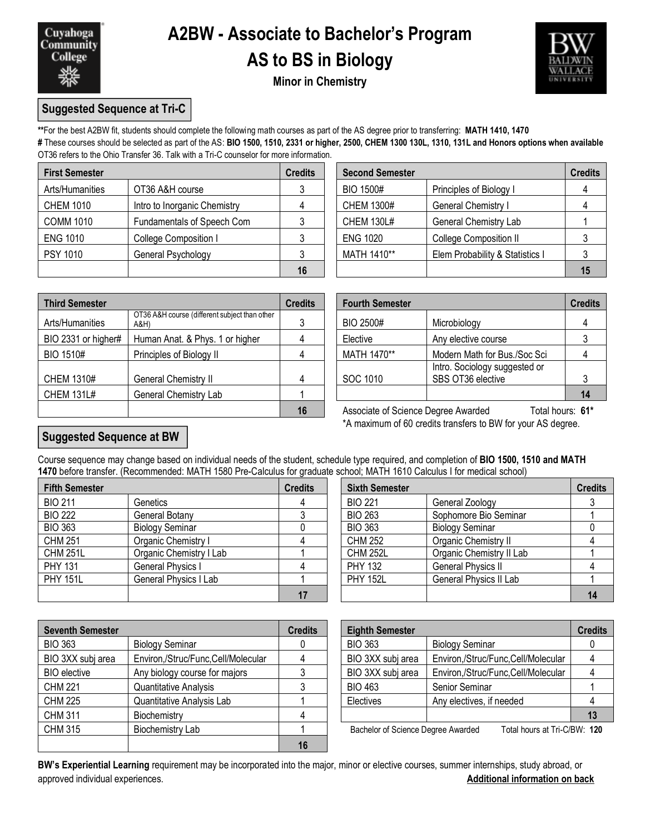

## **A2BW - Associate to Bachelor's Program AS to BS in Biology**



**Minor in Chemistry**

### **Suggested Sequence at Tri-C**

**\*\***For the best A2BW fit, students should complete the following math courses as part of the AS degree prior to transferring: **MATH 1410, 1470**

**#** These courses should be selected as part of the AS: **BIO 1500, 1510, 2331 or higher, 2500, CHEM 1300 130L, 1310, 131L and Honors options when available** OT36 refers to the Ohio Transfer 36. Talk with a Tri-C counselor for more information.

| <b>First Semester</b> |                              | <b>Credits</b> | <b>Second Semester</b> |                                 | <b>Credits</b> |
|-----------------------|------------------------------|----------------|------------------------|---------------------------------|----------------|
| Arts/Humanities       | OT36 A&H course              |                | <b>BIO 1500#</b>       | Principles of Biology I         |                |
| <b>CHEM 1010</b>      | Intro to Inorganic Chemistry |                | <b>CHEM 1300#</b>      | General Chemistry I             |                |
| <b>COMM 1010</b>      | Fundamentals of Speech Com   |                | <b>CHEM 130L#</b>      | <b>General Chemistry Lab</b>    |                |
| <b>ENG 1010</b>       | College Composition I        |                | <b>ENG 1020</b>        | <b>College Composition II</b>   |                |
| PSY 1010              | General Psychology           |                | MATH 1410**            | Elem Probability & Statistics I |                |
|                       |                              | 16             |                        |                                 | 15             |

| edits          | <b>Second Semester</b> |                                 | <b>Credits</b> |
|----------------|------------------------|---------------------------------|----------------|
| 3              | <b>BIO 1500#</b>       | Principles of Biology I         |                |
| $\overline{4}$ | <b>CHEM 1300#</b>      | General Chemistry I             |                |
| 3              | <b>CHEM 130L#</b>      | General Chemistry Lab           |                |
| 3              | <b>ENG 1020</b>        | <b>College Composition II</b>   |                |
| 3              | MATH 1410**            | Elem Probability & Statistics I |                |
| 16             |                        |                                 |                |

| <b>Third Semester</b> |                                                       | <b>Credits</b> |                                     | <b>Fourth Semester</b>                             |                  |
|-----------------------|-------------------------------------------------------|----------------|-------------------------------------|----------------------------------------------------|------------------|
| Arts/Humanities       | OT36 A&H course (different subject than other<br>A&H) |                | BIO 2500#                           | Microbiology                                       |                  |
| BIO 2331 or higher#   | Human Anat. & Phys. 1 or higher                       |                | Elective                            | Any elective course                                |                  |
| BIO 1510#             | Principles of Biology II                              |                | MATH 1470**                         | Modern Math for Bus./Soc Sci                       |                  |
| CHEM 1310#            | General Chemistry II                                  |                | SOC 1010                            | Intro. Sociology suggested or<br>SBS OT36 elective |                  |
| <b>CHEM 131L#</b>     | General Chemistry Lab                                 |                |                                     |                                                    | 14               |
|                       |                                                       | 16             | Associate of Science Degree Awarded |                                                    | Total hours: 61* |

|                                                       | <b>Credits</b> |                  | <b>Fourth Semester</b><br><b>Credits</b>           |  |  |
|-------------------------------------------------------|----------------|------------------|----------------------------------------------------|--|--|
| OT36 A&H course (different subject than other<br>A&H) | 3              | <b>BIO 2500#</b> | Microbiology                                       |  |  |
| Human Anat. & Phys. 1 or higher                       |                | Elective         | Any elective course                                |  |  |
| Principles of Biology II                              |                | MATH 1470**      | Modern Math for Bus./Soc Sci                       |  |  |
| General Chemistry II                                  | 4              | SOC 1010         | Intro. Sociology suggested or<br>SBS OT36 elective |  |  |
| General Chemistry Lab                                 |                |                  |                                                    |  |  |

**16** Associate of Science Degree Awarded Total hours: **61\*** \*A maximum of 60 credits transfers to BW for your AS degree.

### **Suggested Sequence at BW**

Course sequence may change based on individual needs of the student, schedule type required, and completion of **BIO 1500, 1510 and MATH 1470** before transfer. (Recommended: MATH 1580 Pre-Calculus for graduate school; MATH 1610 Calculus I for medical school)

| <b>Fifth Semester</b> |                              | <b>Credits</b> | <b>Sixth Semester</b> |                               | <b>Credits</b> |
|-----------------------|------------------------------|----------------|-----------------------|-------------------------------|----------------|
| <b>BIO 211</b>        | Genetics                     |                | <b>BIO 221</b>        | General Zoology               |                |
| <b>BIO 222</b>        | General Botany               |                | <b>BIO 263</b>        | Sophomore Bio Seminar         |                |
| <b>BIO 363</b>        | <b>Biology Seminar</b>       |                | <b>BIO 363</b>        | <b>Biology Seminar</b>        |                |
| <b>CHM 251</b>        | Organic Chemistry I          |                | <b>CHM 252</b>        | Organic Chemistry II          |                |
| <b>CHM 251L</b>       | Organic Chemistry I Lab      |                | <b>CHM 252L</b>       | Organic Chemistry II Lab      |                |
| <b>PHY 131</b>        | <b>General Physics I</b>     |                | <b>PHY 132</b>        | <b>General Physics II</b>     |                |
| <b>PHY 151L</b>       | <b>General Physics I Lab</b> |                | <b>PHY 152L</b>       | <b>General Physics II Lab</b> |                |
|                       |                              |                |                       |                               |                |

| dits         | <b>Sixth Semester</b> |                               | <b>Credits</b> |
|--------------|-----------------------|-------------------------------|----------------|
| 4            | <b>BIO 221</b>        | General Zoology               |                |
| $\mathbf{3}$ | <b>BIO 263</b>        | Sophomore Bio Seminar         |                |
|              | <b>BIO 363</b>        | <b>Biology Seminar</b>        |                |
|              | <b>CHM 252</b>        | Organic Chemistry II          |                |
|              | <b>CHM 252L</b>       | Organic Chemistry II Lab      |                |
|              | <b>PHY 132</b>        | <b>General Physics II</b>     |                |
|              | <b>PHY 152L</b>       | <b>General Physics II Lab</b> |                |
| 17           |                       |                               |                |

| <b>Seventh Semester</b> |                                    | <b>Credits</b> | <b>Eighth Semester</b>             |                                    | <b>Credits</b> |
|-------------------------|------------------------------------|----------------|------------------------------------|------------------------------------|----------------|
| <b>BIO 363</b>          | <b>Biology Seminar</b>             |                | <b>BIO 363</b>                     | <b>Biology Seminar</b>             |                |
| BIO 3XX subj area       | Environ,/Struc/Func,Cell/Molecular |                | BIO 3XX subj area                  | Environ,/Struc/Func,Cell/Molecular |                |
| <b>BIO</b> elective     | Any biology course for majors      |                | BIO 3XX subj area                  | Environ,/Struc/Func,Cell/Molecular |                |
| <b>CHM 221</b>          | Quantitative Analysis              |                | <b>BIO 463</b>                     | Senior Seminar                     |                |
| <b>CHM 225</b>          | Quantitative Analysis Lab          |                | Electives                          | Any electives, if needed           |                |
| <b>CHM 311</b>          | Biochemistry                       |                |                                    |                                    |                |
| <b>CHM 315</b>          | Biochemistry Lab                   |                | Bachelor of Science Degree Awarded | Total hours at Tri-C/BW: 120       |                |
|                         |                                    | 16             |                                    |                                    |                |

| <b>Eighth Semester</b>             |                                    | <b>Credits</b> |
|------------------------------------|------------------------------------|----------------|
| <b>BIO 363</b>                     | <b>Biology Seminar</b>             |                |
| BIO 3XX subj area                  | Environ,/Struc/Func,Cell/Molecular |                |
| BIO 3XX subj area                  | Environ,/Struc/Func,Cell/Molecular |                |
| <b>BIO 463</b>                     | Senior Seminar                     |                |
| Electives                          | Any electives, if needed           |                |
|                                    |                                    | 13             |
| Rechalor of Science Degree Awarded | Total houre at $Tri_C/BNI: 420$    |                |

**BW's Experiential Learning** requirement may be incorporated into the major, minor or elective courses, summer internships, study abroad, or approved individual experiences. **Additional information on back**